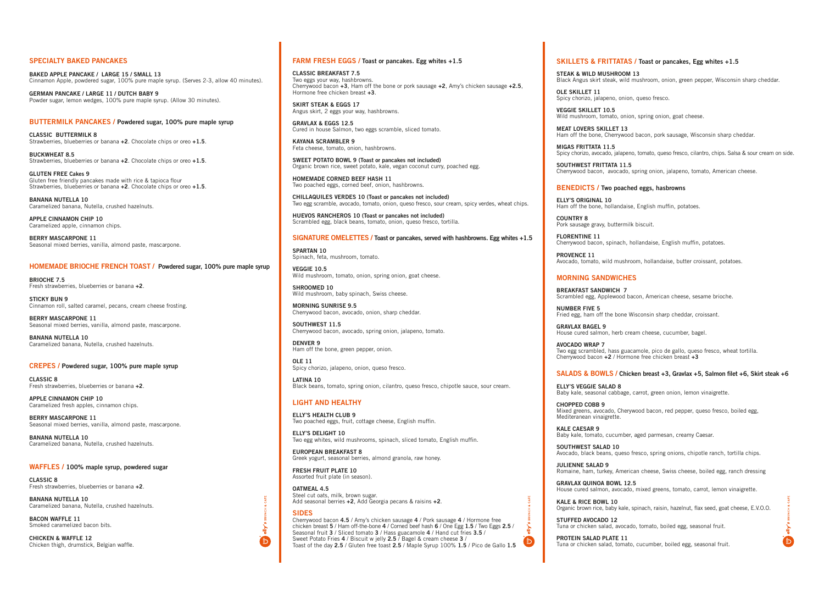#### SPECIALTY BAKED PANCAKES

BAKED APPLE PANCAKE / LARGE 15 / SMALL 13 Cinnamon Apple, powdered sugar, 100% pure maple syrup. (Serves 2-3, allow 40 minutes).

CLASSIC BUTTERMILK 8 Strawberries, blueberries or banana +2. Chocolate chips or oreo +1.5.

BUCKWHEAT 8.5 Strawberries, blueberries or banana +2. Chocolate chips or oreo +1.5.

GERMAN PANCAKE / LARGE 11 / DUTCH BABY 9 Powder sugar, lemon wedges, 100% pure maple syrup. (Allow 30 minutes).

GLUTEN FREE Cakes 9 Gluten free friendly pancakes made with rice & tapioca flour Strawberries, blueberries or banana +2. Chocolate chips or oreo +1.5.

#### BUTTERMILK PANCAKES / Powdered sugar, 100% pure maple syrup

BANANA NUTELLA 10 Caramelized banana, Nutella, crushed hazelnuts.

APPLE CINNAMON CHIP 10 Caramelized apple, cinnamon chips.

BERRY MASCARPONE 11 Seasonal mixed berries, vanilla, almond paste, mascarpone.

#### HOMEMADE BRIOCHE FRENCH TOAST / Powdered sugar, 100% pure maple syrup

BRIOCHE 7.5 Fresh strawberries, blueberries or banana +2.

STICKY BUN 9 Cinnamon roll, salted caramel, pecans, cream cheese frosting.

BERRY MASCARPONE 11 Seasonal mixed berries, vanilla, almond paste, mascarpone.

BANANA NUTELLA 10 Caramelized banana, Nutella, crushed hazelnuts.

CREPES / Powdered sugar, 100% pure maple syrup

CLASSIC 8 Fresh strawberries, blueberries or banana +2.

APPLE CINNAMON CHIP 10 Caramelized fresh apples, cinnamon chips.

BERRY MASCARPONE 11 Seasonal mixed berries, vanilla, almond paste, mascarpone.

BANANA NUTELLA 10 Caramelized banana, Nutella, crushed hazelnuts.

WAFFLES / 100% maple syrup, powdered sugar

CLASSIC 8 Fresh strawberries, blueberries or banana +2.

BANANA NUTELLA 10 Caramelized banana, Nutella, crushed hazelnuts.

BACON WAFFLE 11 Smoked caramelized bacon bits.

CHICKEN & WAFFLE 12 Chicken thigh, drumstick, Belgian waffle.

#### FARM FRESH EGGS / Toast or pancakes. Egg whites +1.5

CLASSIC BREAKFAST 7.5 Two eggs your way, hashbrowns. Cherrywood bacon +3, Ham off the bone or pork sausage +2, Amy's chicken sausage +2.5, Hormone free chicken breast +3.

SKIRT STEAK & EGGS 17 Angus skirt, 2 eggs your way, hashbrowns.

GRAVLAX & EGGS 12.5 Cured in house Salmon, two eggs scramble, sliced tomato.

KAYANA SCRAMBLER 9 Feta cheese, tomato, onion, hashbrowns.

SWEET POTATO BOWL 9 (Toast or pancakes not included) Organic brown rice, sweet potato, kale, vegan coconut curry, poached egg.

HOMEMADE CORNED BEEF HASH 11 Two poached eggs, corned beef, onion, hashbrowns.

CHILLAQUILES VERDES 10 (Toast or pancakes not included) Two egg scramble, avocado, tomato, onion, queso fresco, sour cream, spicy verdes, wheat chips.

HUEVOS RANCHEROS 10 (Toast or pancakes not included) Scrambled egg, black beans, tomato, onion, queso fresco, tortilla.

#### SIGNATURE OMELETTES / Toast or pancakes, served with hashbrowns. Egg whites +1.5

SPARTAN 10 Spinach, feta, mushroom, tomato.

VEGGIE 10.5 Wild mushroom, tomato, onion, spring onion, goat cheese.

SHROOMED 10 Wild mushroom, baby spinach, Swiss cheese.

MORNING SUNRISE 9.5 Cherrywood bacon, avocado, onion, sharp cheddar.

SOUTHWEST 11.5 Cherrywood bacon, avocado, spring onion, jalapeno, tomato.

DENVER 9 Ham off the bone, green pepper, onion.

OLE 11 Spicy chorizo, jalapeno, onion, queso fresco.

LATINA 10 Black beans, tomato, spring onion, cilantro, queso fresco, chipotle sauce, sour cream.

#### LIGHT AND HEALTHY

ELLY'S HEALTH CLUB 9 Two poached eggs, fruit, cottage cheese, English muffin.

ELLY'S DELIGHT 10 Two egg whites, wild mushrooms, spinach, sliced tomato, English muffin.

EUROPEAN BREAKFAST 8 Greek yogurt, seasonal berries, almond granola, raw honey.

FRESH FRUIT PLATE 10 Assorted fruit plate (in season).

OATMEAL 4.5 Steel cut oats, milk, brown sugar. Add seasonal berries +2, Add Georgia pecans & raisins +2.

#### SIDES

Cherrywood bacon 4.5 / Amy's chicken sausage 4 / Pork sausage 4 / Hormone free chicken breast 5 / Ham off-the-bone 4 / Corned beef hash 6 / One Egg 1.5 / Two Eggs 2.5 / Seasonal fruit 3 / Sliced tomato 3 / Hass guacamole 4 / Hand cut fries 3.5 / Sweet Potato Fries 4 / Biscuit w jelly 2.5 / Bagel & cream cheese 3 / Toast of the day 2.5 / Gluten free toast 2.5 / Maple Syrup 100% 1.5 / Pico de Gallo 1.5

## SKILLETS & FRITTATAS / Toast or pancakes, Egg whites +1.5

STEAK & WILD MUSHROOM 13

Black Angus skirt steak, wild mushroom, onion, green pepper, Wisconsin sharp cheddar.

OLE SKILLET 11

Spicy chorizo, jalapeno, onion, queso fresco.

VEGGIE SKILLET 10.5 Wild mushroom, tomato, onion, spring onion, goat cheese.

MEAT LOVERS SKILLET 13 Ham off the bone, Cherrywood bacon, pork sausage, Wisconsin sharp cheddar.

MIGAS FRITTATA 11.5

Spicy chorizo, avocado, jalapeno, tomato, queso fresco, cilantro, chips. Salsa & sour cream on side.

SOUTHWEST FRITTATA 11.5 Cherrywood bacon, avocado, spring onion, jalapeno, tomato, American cheese.

## BENEDICTS / Two poached eggs, hasbrowns

ELLY'S ORIGINAL 10 Ham off the bone, hollandaise, English muffin, potatoes.

COUNTRY 8

Pork sausage gravy, buttermilk biscuit.

FLORENTINE 11 Cherrywood bacon, spinach, hollandaise, English muffin, potatoes.

PROVENCE 11 Avocado, tomato, wild mushroom, hollandaise, butter croissant, potatoes.

# MORNING SANDWICHES

BREAKFAST SANDWICH 7

Scrambled egg, Applewood bacon, American cheese, sesame brioche.

NUMBER FIVE 5

Fried egg, ham off the bone Wisconsin sharp cheddar, croissant.

GRAVLAX BAGEL 9 House cured salmon, herb cream cheese, cucumber, bagel.

AVOCADO WRAP 7 Two egg scrambled, hass guacamole, pico de gallo, queso fresco, wheat tortilla. Cherrywood bacon +2 / Hormone free chicken breast +3

#### SALADS & BOWLS / Chicken breast +3, Gravlax +5, Salmon filet +6, Skirt steak +6

#### ELLY'S VEGGIE SALAD 8

Baby kale, seasonal cabbage, carrot, green onion, lemon vinaigrette.

CHOPPED COBB 9

 $\boldsymbol{\mathsf{b}}$ 



Mixed greens, avocado, Cherywood bacon, red pepper, queso fresco, boiled egg, Mediteranean vinaigrette.

#### KALE CAESAR 9

Baby kale, tomato, cucumber, aged parmesan, creamy Caesar.

#### SOUTHWEST SALAD 10

Avocado, black beans, queso fresco, spring onions, chipotle ranch, tortilla chips.

#### JULIENNE SALAD 9

Romaine, ham, turkey, American cheese, Swiss cheese, boiled egg, ranch dressing

#### GRAVLAX QUINOA BOWL 12.5

House cured salmon, avocado, mixed greens, tomato, carrot, lemon vinaigrette.

#### KALE & RICE BOWL 10

Organic brown rice, baby kale, spinach, raisin, hazelnut, flax seed, goat cheese, E.V.O.O.

#### STUFFED AVOCADO 12

Tuna or chicken salad, avocado, tomato, boiled egg, seasonal fruit.

#### PROTEIN SALAD PLATE 11

Tuna or chicken salad, tomato, cucumber, boiled egg, seasonal fruit.